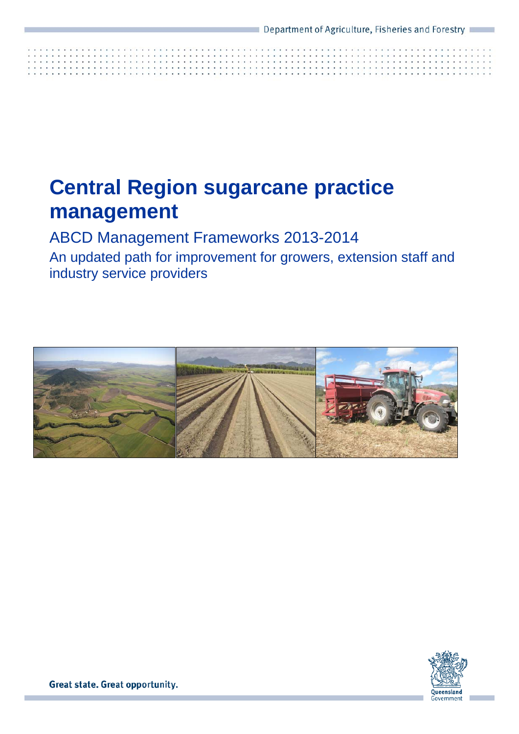# **Central Region sugarcane practice management**

ABCD Management Frameworks 2013-2014

An updated path for improvement for growers, extension staff and industry service providers



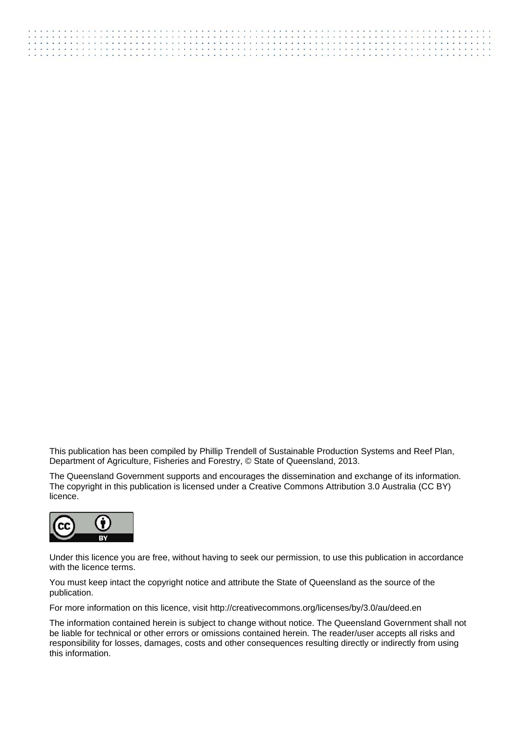This publication has been compiled by Phillip Trendell of Sustainable Production Systems and Reef Plan, Department of Agriculture, Fisheries and Forestry, © State of Queensland, 2013.

The Queensland Government supports and encourages the dissemination and exchange of its information. The copyright in this publication is licensed under a Creative Commons Attribution 3.0 Australia (CC BY) licence.



Under this licence you are free, without having to seek our permission, to use this publication in accordance with the licence terms.

You must keep intact the copyright notice and attribute the State of Queensland as the source of the publication.

For more information on this licence, visit http://creativecommons.org/licenses/by/3.0/au/deed.en

The information contained herein is subject to change without notice. The Queensland Government shall not be liable for technical or other errors or omissions contained herein. The reader/user accepts all risks and responsibility for losses, damages, costs and other consequences resulting directly or indirectly from using this information.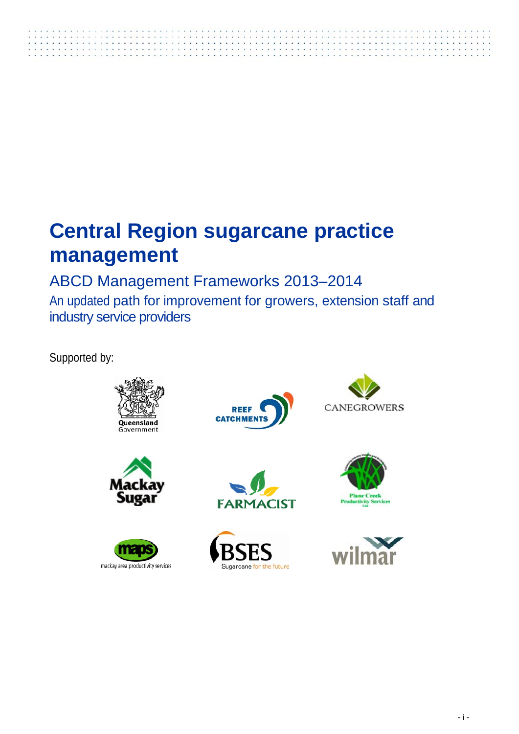# **Central Region sugarcane practice management**

ABCD Management Frameworks 2013–2014 An updated path for improvement for growers, extension staff and industry service providers

Supported by:





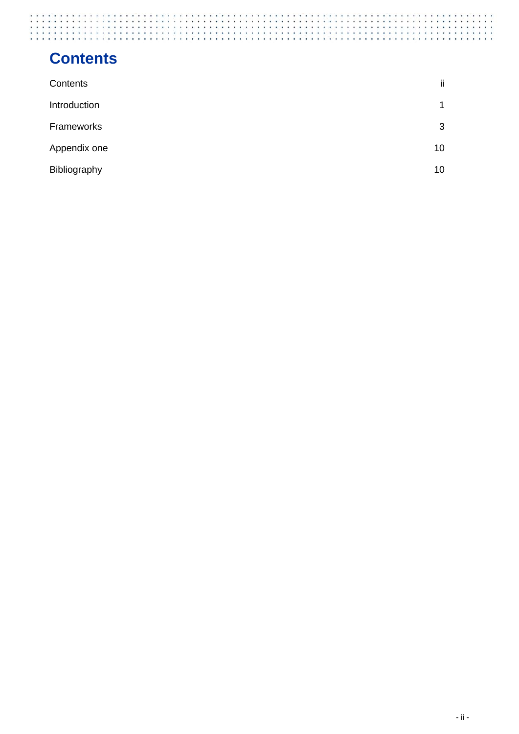## **Contents**

| Contents     | ii |
|--------------|----|
| Introduction |    |
| Frameworks   | 3  |
| Appendix one | 10 |
| Bibliography | 10 |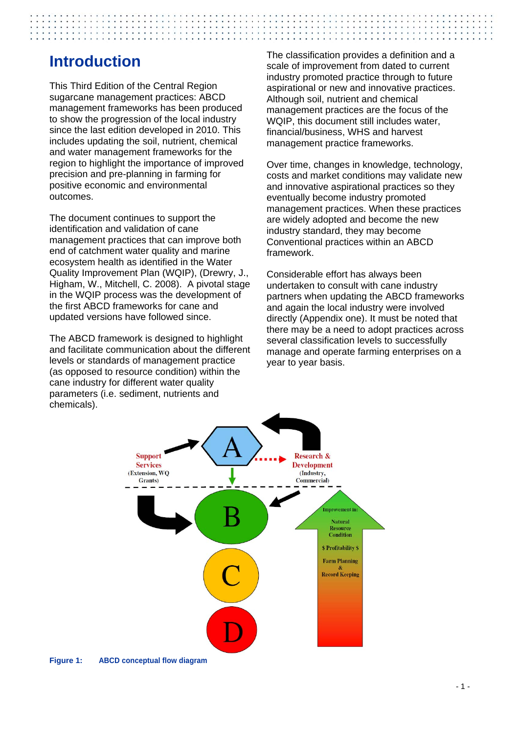### **Introduction**

This Third Edition of the Central Region sugarcane management practices: ABCD management frameworks has been produced to show the progression of the local industry since the last edition developed in 2010. This includes updating the soil, nutrient, chemical and water management frameworks for the region to highlight the importance of improved precision and pre-planning in farming for positive economic and environmental outcomes.

The document continues to support the identification and validation of cane management practices that can improve both end of catchment water quality and marine ecosystem health as identified in the Water Quality Improvement Plan (WQIP), (Drewry, J., Higham, W., Mitchell, C. 2008). A pivotal stage in the WQIP process was the development of the first ABCD frameworks for cane and updated versions have followed since.

The ABCD framework is designed to highlight and facilitate communication about the different levels or standards of management practice (as opposed to resource condition) within the cane industry for different water quality parameters (i.e. sediment, nutrients and chemicals).

The classification provides a definition and a scale of improvement from dated to current industry promoted practice through to future aspirational or new and innovative practices. Although soil, nutrient and chemical management practices are the focus of the WQIP, this document still includes water, financial/business, WHS and harvest management practice frameworks.

Over time, changes in knowledge, technology, costs and market conditions may validate new and innovative aspirational practices so they eventually become industry promoted management practices. When these practices are widely adopted and become the new industry standard, they may become Conventional practices within an ABCD framework.

Considerable effort has always been undertaken to consult with cane industry partners when updating the ABCD frameworks and again the local industry were involved directly (Appendix one). It must be noted that there may be a need to adopt practices across several classification levels to successfully manage and operate farming enterprises on a year to year basis.



**Figure 1: ABCD conceptual flow diagram**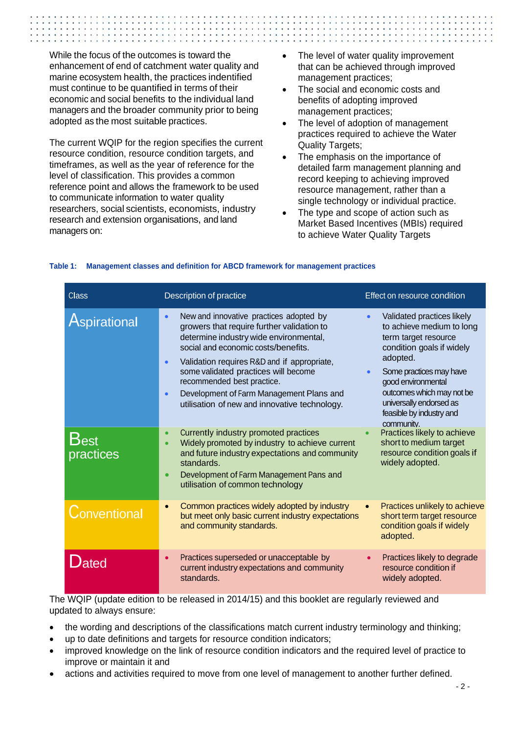While the focus of the outcomes is toward the enhancement of end of catchment water quality and marine ecosystem health, the practices indentified must continue to be quantified in terms of their economic and social benefits to the individual land managers and the broader community prior to being adopted as the most suitable practices.

The current WQIP for the region specifies the current resource condition, resource condition targets, and timeframes, as well as the year of reference for the level of classification. This provides a common reference point and allows the framework to be used to communicate information to water quality researchers, social scientists, economists, industry research and extension organisations, and land managers on:

- The level of water quality improvement that can be achieved through improved management practices;
- The social and economic costs and benefits of adopting improved management practices;
- The level of adoption of management practices required to achieve the Water Quality Targets;
- The emphasis on the importance of detailed farm management planning and record keeping to achieving improved resource management, rather than a single technology or individual practice.
- The type and scope of action such as Market Based Incentives (MBIs) required to achieve Water Quality Targets

| <b>Class</b>      | Description of practice                                                                                                                                                                                                                                                                                                                                                                                                         | Effect on resource condition                                                                                                                                                                                                                                                                          |
|-------------------|---------------------------------------------------------------------------------------------------------------------------------------------------------------------------------------------------------------------------------------------------------------------------------------------------------------------------------------------------------------------------------------------------------------------------------|-------------------------------------------------------------------------------------------------------------------------------------------------------------------------------------------------------------------------------------------------------------------------------------------------------|
| Aspirational      | New and innovative practices adopted by<br>$\bullet$<br>growers that require further validation to<br>determine industry wide environmental,<br>social and economic costs/benefits.<br>Validation requires R&D and if appropriate,<br>$\bullet$<br>some validated practices will become<br>recommended best practice.<br>Development of Farm Management Plans and<br>$\bullet$<br>utilisation of new and innovative technology. | Validated practices likely<br>$\bullet$<br>to achieve medium to long<br>term target resource<br>condition goals if widely<br>adopted.<br>Some practices may have<br>$\bullet$<br>good environmental<br>outcomes which may not be<br>universally endorsed as<br>feasible by industry and<br>community. |
| Best<br>practices | Currently industry promoted practices<br>$\bullet$<br>Widely promoted by industry to achieve current<br>and future industry expectations and community<br>standards.<br>Development of Farm Management Pans and<br>$\bullet$<br>utilisation of common technology                                                                                                                                                                | Practices likely to achieve<br>short to medium target<br>resource condition goals if<br>widely adopted.                                                                                                                                                                                               |
| Conventional      | Common practices widely adopted by industry<br>but meet only basic current industry expectations<br>and community standards.                                                                                                                                                                                                                                                                                                    | Practices unlikely to achieve<br>$\bullet$<br>short term target resource<br>condition goals if widely<br>adopted.                                                                                                                                                                                     |
| $\mathsf{D}$ ated | Practices superseded or unacceptable by<br>$\bullet$<br>current industry expectations and community<br>standards.<br>in MOID (undato odition to be released in 2014/15) and this booklet are requierly reviewed and                                                                                                                                                                                                             | Practices likely to degrade<br>resource condition if<br>widely adopted.                                                                                                                                                                                                                               |

#### **Table 1: Management classes and definition for ABCD framework for management practices**

The WQIP (update edition to be released in 2014/15) and this booklet are regularly reviewed and updated to always ensure:

- the wording and descriptions of the classifications match current industry terminology and thinking;
- up to date definitions and targets for resource condition indicators;
- improved knowledge on the link of resource condition indicators and the required level of practice to improve or maintain it and
- actions and activities required to move from one level of management to another further defined.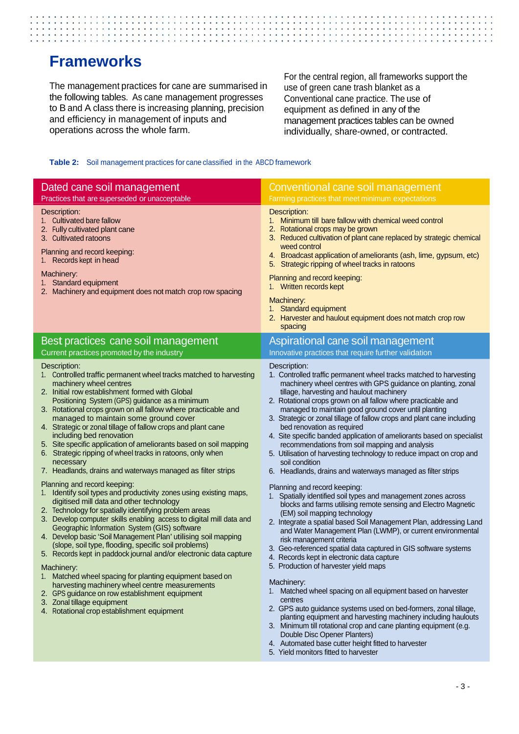### **Frameworks**

The management practices for cane are summarised in the following tables. As cane management progresses to B and A class there is increasing planning, precision and efficiency in management of inputs and operations across the whole farm.

For the central region, all frameworks support the use of green cane trash blanket as a Conventional cane practice. The use of equipment as defined in any of the management practices tables can be owned individually, share-owned, or contracted.

#### **Table 2:** Soil management practices for cane classified in the ABCD framework

| Conventional cane soil management<br>Farming practices that meet minimum expectations                                                                                                                                                                                                                                                                                                                                                                                                                                                                                                                                                                                                                                                                                                                                                                                                                                                                                                                                                                                                                                                                                                                                                                                                                                                                                                                                                                                                                                                                                                                                                                                                |
|--------------------------------------------------------------------------------------------------------------------------------------------------------------------------------------------------------------------------------------------------------------------------------------------------------------------------------------------------------------------------------------------------------------------------------------------------------------------------------------------------------------------------------------------------------------------------------------------------------------------------------------------------------------------------------------------------------------------------------------------------------------------------------------------------------------------------------------------------------------------------------------------------------------------------------------------------------------------------------------------------------------------------------------------------------------------------------------------------------------------------------------------------------------------------------------------------------------------------------------------------------------------------------------------------------------------------------------------------------------------------------------------------------------------------------------------------------------------------------------------------------------------------------------------------------------------------------------------------------------------------------------------------------------------------------------|
| Description:<br>1. Minimum till bare fallow with chemical weed control<br>2. Rotational crops may be grown<br>3. Reduced cultivation of plant cane replaced by strategic chemical<br>weed control<br>4. Broadcast application of ameliorants (ash, lime, gypsum, etc)<br>5. Strategic ripping of wheel tracks in ratoons<br>Planning and record keeping:<br>1. Written records kept<br>Machinery:<br>1. Standard equipment<br>2. Harvester and haulout equipment does not match crop row<br>spacing                                                                                                                                                                                                                                                                                                                                                                                                                                                                                                                                                                                                                                                                                                                                                                                                                                                                                                                                                                                                                                                                                                                                                                                  |
| Aspirational cane soil management<br>Innovative practices that require further validation                                                                                                                                                                                                                                                                                                                                                                                                                                                                                                                                                                                                                                                                                                                                                                                                                                                                                                                                                                                                                                                                                                                                                                                                                                                                                                                                                                                                                                                                                                                                                                                            |
| Description:<br>1. Controlled traffic permanent wheel tracks matched to harvesting<br>machinery wheel centres with GPS guidance on planting, zonal<br>tillage, harvesting and haulout machinery<br>2. Rotational crops grown on all fallow where practicable and<br>managed to maintain good ground cover until planting<br>3. Strategic or zonal tillage of fallow crops and plant cane including<br>bed renovation as required<br>4. Site specific banded application of ameliorants based on specialist<br>recommendations from soil mapping and analysis<br>5. Utilisation of harvesting technology to reduce impact on crop and<br>soil condition<br>6. Headlands, drains and waterways managed as filter strips<br>Planning and record keeping:<br>1. Spatially identified soil types and management zones across<br>blocks and farms utilising remote sensing and Electro Magnetic<br>(EM) soil mapping technology<br>2. Integrate a spatial based Soil Management Plan, addressing Land<br>and Water Management Plan (LWMP), or current environmental<br>risk management criteria<br>3. Geo-referenced spatial data captured in GIS software systems<br>4. Records kept in electronic data capture<br>5. Production of harvester yield maps<br>Machinery:<br>Matched wheel spacing on all equipment based on harvester<br>centres<br>2. GPS auto guidance systems used on bed-formers, zonal tillage,<br>planting equipment and harvesting machinery including haulouts<br>3. Minimum till rotational crop and cane planting equipment (e.g.<br>Double Disc Opener Planters)<br>4. Automated base cutter height fitted to harvester<br>5. Yield monitors fitted to harvester |
|                                                                                                                                                                                                                                                                                                                                                                                                                                                                                                                                                                                                                                                                                                                                                                                                                                                                                                                                                                                                                                                                                                                                                                                                                                                                                                                                                                                                                                                                                                                                                                                                                                                                                      |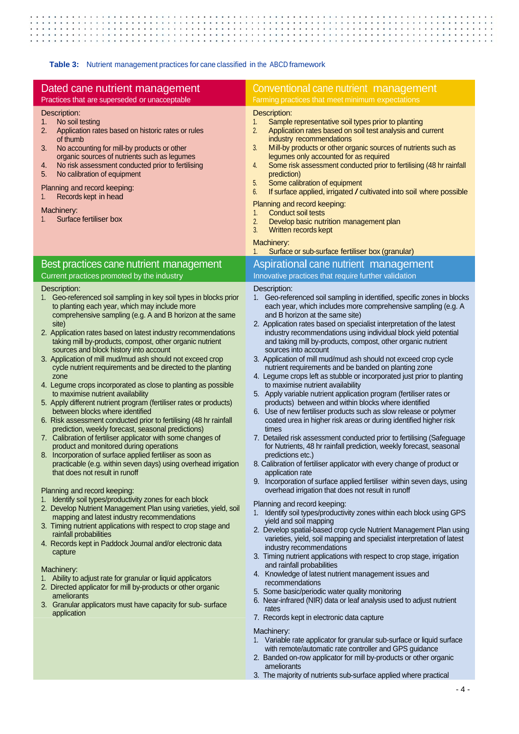<u> 1999 - 1999 - 1999 - 1999 - 1999 - 1999 - 1999 - 1999 - 1999 - 1999 - 1999 - 1999 - 1999 - 1999 - 1999 - 1999 - 1999 - 1999 - 1999 - 1999 - 1999 - 1999 - 1999 - 1999 - 1999 - 1999 - 1999 - 1999 - 1999 - 1999 - 1999 - 199</u>  $\ddot{\phantom{0}}$  $\sim$   $\sim$   $\sim$  $\overline{\phantom{a}}$ ÷.  $\overline{\phantom{a}}$  $\lambda$  $\overline{a}$  $\sim$  $\overline{a}$  $\overline{a}$  $\ddot{\phantom{0}}$ 

**Table 3:** Nutrient management practices for cane classified in the ABCD framework

| Dated cane nutrient management                                                                                                                                                                                                                                                                                                                                                                                                                                                                                                                                                                                                                                                                                                                                                                                                                                                                                                                                                                                                                                                                                                                                                                                                                                                                                                                                                                                                                                                                                                                                                                                                                                                                                                                                      | Conventional cane nutrient management                                                                                                                                                                                                                                                                                                                                                                                                                                                                                                                                                                                                                                                                                                                                                                                                                                                                                                                                                                                                                                                                                                                                                                                                                                                                                                                                                                                                                                                                                                                                                                                                                                                                                                                                                                                                                                                                                                                                                                                                                 |
|---------------------------------------------------------------------------------------------------------------------------------------------------------------------------------------------------------------------------------------------------------------------------------------------------------------------------------------------------------------------------------------------------------------------------------------------------------------------------------------------------------------------------------------------------------------------------------------------------------------------------------------------------------------------------------------------------------------------------------------------------------------------------------------------------------------------------------------------------------------------------------------------------------------------------------------------------------------------------------------------------------------------------------------------------------------------------------------------------------------------------------------------------------------------------------------------------------------------------------------------------------------------------------------------------------------------------------------------------------------------------------------------------------------------------------------------------------------------------------------------------------------------------------------------------------------------------------------------------------------------------------------------------------------------------------------------------------------------------------------------------------------------|-------------------------------------------------------------------------------------------------------------------------------------------------------------------------------------------------------------------------------------------------------------------------------------------------------------------------------------------------------------------------------------------------------------------------------------------------------------------------------------------------------------------------------------------------------------------------------------------------------------------------------------------------------------------------------------------------------------------------------------------------------------------------------------------------------------------------------------------------------------------------------------------------------------------------------------------------------------------------------------------------------------------------------------------------------------------------------------------------------------------------------------------------------------------------------------------------------------------------------------------------------------------------------------------------------------------------------------------------------------------------------------------------------------------------------------------------------------------------------------------------------------------------------------------------------------------------------------------------------------------------------------------------------------------------------------------------------------------------------------------------------------------------------------------------------------------------------------------------------------------------------------------------------------------------------------------------------------------------------------------------------------------------------------------------------|
| Practices that are superseded or unacceptable<br>Description:<br>No soil testing<br>1.<br>Application rates based on historic rates or rules<br>2.<br>of thumb<br>No accounting for mill-by products or other<br>3.<br>organic sources of nutrients such as legumes<br>No risk assessment conducted prior to fertilising<br>4.<br>5.<br>No calibration of equipment<br>Planning and record keeping:<br>Records kept in head<br>1.                                                                                                                                                                                                                                                                                                                                                                                                                                                                                                                                                                                                                                                                                                                                                                                                                                                                                                                                                                                                                                                                                                                                                                                                                                                                                                                                   | Farming practices that meet minimum expectations<br>Description:<br>Sample representative soil types prior to planting<br>1.<br>2.<br>Application rates based on soil test analysis and current<br>industry recommendations<br>3.<br>Mill-by products or other organic sources of nutrients such as<br>legumes only accounted for as required<br>Some risk assessment conducted prior to fertilising (48 hr rainfall<br>4.<br>prediction)<br>5.<br>Some calibration of equipment<br>6.<br>If surface applied, irrigated / cultivated into soil where possible<br>Planning and record keeping:                                                                                                                                                                                                                                                                                                                                                                                                                                                                                                                                                                                                                                                                                                                                                                                                                                                                                                                                                                                                                                                                                                                                                                                                                                                                                                                                                                                                                                                         |
| Machinery:<br>Surface fertiliser box                                                                                                                                                                                                                                                                                                                                                                                                                                                                                                                                                                                                                                                                                                                                                                                                                                                                                                                                                                                                                                                                                                                                                                                                                                                                                                                                                                                                                                                                                                                                                                                                                                                                                                                                | <b>Conduct soil tests</b><br>1.<br>2.<br>Develop basic nutrition management plan<br>3.<br>Written records kept<br>Machinery:<br>Surface or sub-surface fertiliser box (granular)<br>1.                                                                                                                                                                                                                                                                                                                                                                                                                                                                                                                                                                                                                                                                                                                                                                                                                                                                                                                                                                                                                                                                                                                                                                                                                                                                                                                                                                                                                                                                                                                                                                                                                                                                                                                                                                                                                                                                |
| Best practices cane nutrient management<br>Current practices promoted by the industry                                                                                                                                                                                                                                                                                                                                                                                                                                                                                                                                                                                                                                                                                                                                                                                                                                                                                                                                                                                                                                                                                                                                                                                                                                                                                                                                                                                                                                                                                                                                                                                                                                                                               | Aspirational cane nutrient management<br>Innovative practices that require further validation                                                                                                                                                                                                                                                                                                                                                                                                                                                                                                                                                                                                                                                                                                                                                                                                                                                                                                                                                                                                                                                                                                                                                                                                                                                                                                                                                                                                                                                                                                                                                                                                                                                                                                                                                                                                                                                                                                                                                         |
| Description:<br>1. Geo-referenced soil sampling in key soil types in blocks prior<br>to planting each year, which may include more<br>comprehensive sampling (e.g. A and B horizon at the same<br>site)<br>2. Application rates based on latest industry recommendations<br>taking mill by-products, compost, other organic nutrient<br>sources and block history into account<br>3. Application of mill mud/mud ash should not exceed crop<br>cycle nutrient requirements and be directed to the planting<br>zone<br>4. Legume crops incorporated as close to planting as possible<br>to maximise nutrient availability<br>5. Apply different nutrient program (fertiliser rates or products)<br>between blocks where identified<br>6. Risk assessment conducted prior to fertilising (48 hr rainfall<br>prediction, weekly forecast, seasonal predictions)<br>7. Calibration of fertiliser applicator with some changes of<br>product and monitored during operations<br>8. Incorporation of surface applied fertiliser as soon as<br>practicable (e.g. within seven days) using overhead irrigation<br>that does not result in runoff<br>Planning and record keeping:<br>Identify soil types/productivity zones for each block<br>2. Develop Nutrient Management Plan using varieties, yield, soil<br>mapping and latest industry recommendations<br>3. Timing nutrient applications with respect to crop stage and<br>rainfall probabilities<br>4. Records kept in Paddock Journal and/or electronic data<br>capture<br>Machinery:<br>1. Ability to adjust rate for granular or liquid applicators<br>2. Directed applicator for mill by-products or other organic<br>ameliorants<br>3. Granular applicators must have capacity for sub- surface<br>application | Description:<br>1. Geo-referenced soil sampling in identified, specific zones in blocks<br>each year, which includes more comprehensive sampling (e.g. A<br>and B horizon at the same site)<br>2. Application rates based on specialist interpretation of the latest<br>industry recommendations using individual block yield potential<br>and taking mill by-products, compost, other organic nutrient<br>sources into account<br>3. Application of mill mud/mud ash should not exceed crop cycle<br>nutrient requirements and be banded on planting zone<br>4. Legume crops left as stubble or incorporated just prior to planting<br>to maximise nutrient availability<br>5. Apply variable nutrient application program (fertiliser rates or<br>products) between and within blocks where identified<br>6. Use of new fertiliser products such as slow release or polymer<br>coated urea in higher risk areas or during identified higher risk<br>times<br>7. Detailed risk assessment conducted prior to fertilising (Safeguage<br>for Nutrients, 48 hr rainfall prediction, weekly forecast, seasonal<br>predictions etc.)<br>8. Calibration of fertiliser applicator with every change of product or<br>application rate<br>9. Incorporation of surface applied fertiliser within seven days, using<br>overhead irrigation that does not result in runoff<br>Planning and record keeping:<br>1. Identify soil types/productivity zones within each block using GPS<br>yield and soil mapping<br>2. Develop spatial-based crop cycle Nutrient Management Plan using<br>varieties, yield, soil mapping and specialist interpretation of latest<br>industry recommendations<br>3. Timing nutrient applications with respect to crop stage, irrigation<br>and rainfall probabilities<br>4. Knowledge of latest nutrient management issues and<br>recommendations<br>5. Some basic/periodic water quality monitoring<br>6. Near-infrared (NIR) data or leaf analysis used to adjust nutrient<br>rates<br>7. Records kept in electronic data capture |
|                                                                                                                                                                                                                                                                                                                                                                                                                                                                                                                                                                                                                                                                                                                                                                                                                                                                                                                                                                                                                                                                                                                                                                                                                                                                                                                                                                                                                                                                                                                                                                                                                                                                                                                                                                     | Machinery:<br>1. Variable rate applicator for granular sub-surface or liquid surface<br>with remote/automatic rate controller and GPS guidance<br>2. Banded on-row applicator for mill by-products or other organic<br>ameliorants                                                                                                                                                                                                                                                                                                                                                                                                                                                                                                                                                                                                                                                                                                                                                                                                                                                                                                                                                                                                                                                                                                                                                                                                                                                                                                                                                                                                                                                                                                                                                                                                                                                                                                                                                                                                                    |

3. The majority of nutrients sub-surface applied where practical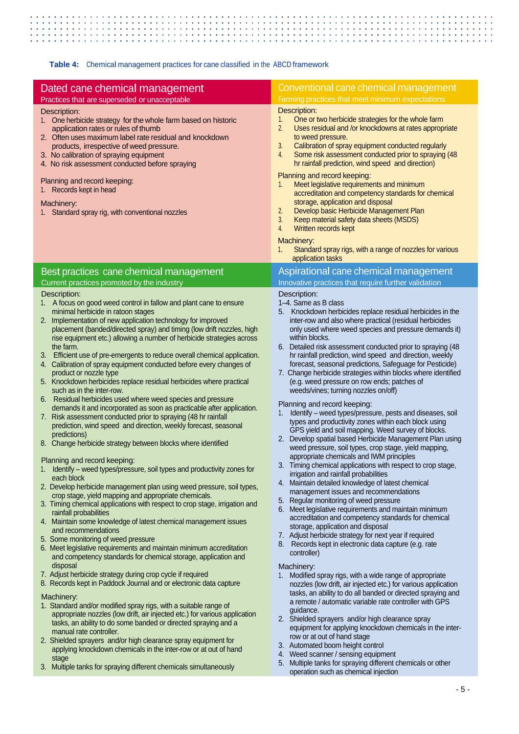$\mathbb{R}^n$  $\vdots$ . . . ×  $\cdot$  .  $\cdot$   $\cdot$  $\sim$  $\sim$  $\overline{a}$  $\overline{\phantom{a}}$  $\mathbf{r}$ ÷. ÷,  $\overline{a}$ 

#### **Table 4:** Chemical management practices for cane classified in the ABCD framework

| Dated cane chemical management<br>Practices that are superseded or unacceptable                                                                                                                                                                                                                                                                                                                                                                                                                                                                                                                                                                                                                                                                                                                                                                                                                                                                                                                                                                                                                                                                                                                                                                                                                                                                                                                                                                                                                                                                                                                                                                                                                                                                                                                                                                                                                                                                                                                                                                                                                                                                                                                                                                                                                                               | Conventional cane chemical management<br>Farming practices that meet minimum expectations                                                                                                                                                                                                                                                                                                                                                                                                                                                                                                                                                                                                                                                                                                                                                                                                                                                                                                                                                                                                                                                                                                                                                                                                                                                                                                                                                                                                                                                                                                                                                                                                                                                                                                                                                                                                                                                                                                                                                                                                                                                             |
|-------------------------------------------------------------------------------------------------------------------------------------------------------------------------------------------------------------------------------------------------------------------------------------------------------------------------------------------------------------------------------------------------------------------------------------------------------------------------------------------------------------------------------------------------------------------------------------------------------------------------------------------------------------------------------------------------------------------------------------------------------------------------------------------------------------------------------------------------------------------------------------------------------------------------------------------------------------------------------------------------------------------------------------------------------------------------------------------------------------------------------------------------------------------------------------------------------------------------------------------------------------------------------------------------------------------------------------------------------------------------------------------------------------------------------------------------------------------------------------------------------------------------------------------------------------------------------------------------------------------------------------------------------------------------------------------------------------------------------------------------------------------------------------------------------------------------------------------------------------------------------------------------------------------------------------------------------------------------------------------------------------------------------------------------------------------------------------------------------------------------------------------------------------------------------------------------------------------------------------------------------------------------------------------------------------------------------|-------------------------------------------------------------------------------------------------------------------------------------------------------------------------------------------------------------------------------------------------------------------------------------------------------------------------------------------------------------------------------------------------------------------------------------------------------------------------------------------------------------------------------------------------------------------------------------------------------------------------------------------------------------------------------------------------------------------------------------------------------------------------------------------------------------------------------------------------------------------------------------------------------------------------------------------------------------------------------------------------------------------------------------------------------------------------------------------------------------------------------------------------------------------------------------------------------------------------------------------------------------------------------------------------------------------------------------------------------------------------------------------------------------------------------------------------------------------------------------------------------------------------------------------------------------------------------------------------------------------------------------------------------------------------------------------------------------------------------------------------------------------------------------------------------------------------------------------------------------------------------------------------------------------------------------------------------------------------------------------------------------------------------------------------------------------------------------------------------------------------------------------------------|
| Description:<br>1. One herbicide strategy for the whole farm based on historic<br>application rates or rules of thumb<br>2. Often uses maximum label rate residual and knockdown<br>products, irrespective of weed pressure.<br>3. No calibration of spraying equipment<br>4. No risk assessment conducted before spraying<br>Planning and record keeping:<br>Records kept in head<br>1.<br>Machinery:<br>1. Standard spray rig, with conventional nozzles                                                                                                                                                                                                                                                                                                                                                                                                                                                                                                                                                                                                                                                                                                                                                                                                                                                                                                                                                                                                                                                                                                                                                                                                                                                                                                                                                                                                                                                                                                                                                                                                                                                                                                                                                                                                                                                                    | Description:<br>One or two herbicide strategies for the whole farm<br>1.<br>2.<br>Uses residual and /or knockdowns at rates appropriate<br>to weed pressure.<br>3.<br>Calibration of spray equipment conducted regularly<br>Some risk assessment conducted prior to spraying (48<br>4.<br>hr rainfall prediction, wind speed and direction)<br>Planning and record keeping:<br>Meet legislative requirements and minimum<br>1.<br>accreditation and competency standards for chemical<br>storage, application and disposal<br>2.<br>Develop basic Herbicide Management Plan<br>3.<br>Keep material safety data sheets (MSDS)<br>4.<br>Written records kept<br>Machinery:<br>Standard spray rigs, with a range of nozzles for various<br>1.<br>application tasks                                                                                                                                                                                                                                                                                                                                                                                                                                                                                                                                                                                                                                                                                                                                                                                                                                                                                                                                                                                                                                                                                                                                                                                                                                                                                                                                                                                       |
| Best practices cane chemical management                                                                                                                                                                                                                                                                                                                                                                                                                                                                                                                                                                                                                                                                                                                                                                                                                                                                                                                                                                                                                                                                                                                                                                                                                                                                                                                                                                                                                                                                                                                                                                                                                                                                                                                                                                                                                                                                                                                                                                                                                                                                                                                                                                                                                                                                                       | Aspirational cane chemical management                                                                                                                                                                                                                                                                                                                                                                                                                                                                                                                                                                                                                                                                                                                                                                                                                                                                                                                                                                                                                                                                                                                                                                                                                                                                                                                                                                                                                                                                                                                                                                                                                                                                                                                                                                                                                                                                                                                                                                                                                                                                                                                 |
| Current practices promoted by the industry<br>Description:<br>1. A focus on good weed control in fallow and plant cane to ensure<br>minimal herbicide in ratoon stages<br>2. Implementation of new application technology for improved<br>placement (banded/directed spray) and timing (low drift nozzles, high<br>rise equipment etc.) allowing a number of herbicide strategies across<br>the farm.<br>3. Efficient use of pre-emergents to reduce overall chemical application.<br>4. Calibration of spray equipment conducted before every changes of<br>product or nozzle type<br>5. Knockdown herbicides replace residual herbicides where practical<br>such as in the inter-row.<br>6. Residual herbicides used where weed species and pressure<br>demands it and incorporated as soon as practicable after application.<br>7. Risk assessment conducted prior to spraying (48 hr rainfall<br>prediction, wind speed and direction, weekly forecast, seasonal<br>predictions)<br>8. Change herbicide strategy between blocks where identified<br>Planning and record keeping:<br>Identify - weed types/pressure, soil types and productivity zones for<br>each block<br>2. Develop herbicide management plan using weed pressure, soil types,<br>crop stage, yield mapping and appropriate chemicals.<br>3. Timing chemical applications with respect to crop stage, irrigation and<br>rainfall probabilities<br>4. Maintain some knowledge of latest chemical management issues<br>and recommendations<br>5. Some monitoring of weed pressure<br>6. Meet legislative requirements and maintain minimum accreditation<br>and competency standards for chemical storage, application and<br>disposal<br>7. Adjust herbicide strategy during crop cycle if required<br>8. Records kept in Paddock Journal and or electronic data capture<br>Machinery:<br>1. Standard and/or modified spray rigs, with a suitable range of<br>appropriate nozzles (low drift, air injected etc.) for various application<br>tasks, an ability to do some banded or directed spraying and a<br>manual rate controller.<br>2. Shielded sprayers and/or high clearance spray equipment for<br>applying knockdown chemicals in the inter-row or at out of hand<br>stage<br>3. Multiple tanks for spraying different chemicals simultaneously | Innovative practices that require further validation<br>Description:<br>1-4. Same as B class<br>Knockdown herbicides replace residual herbicides in the<br>5.<br>inter-row and also where practical (residual herbicides<br>only used where weed species and pressure demands it)<br>within blocks.<br>6. Detailed risk assessment conducted prior to spraying (48<br>hr rainfall prediction, wind speed and direction, weekly<br>forecast, seasonal predictions, Safeguage for Pesticide)<br>7. Change herbicide strategies within blocks where identified<br>(e.g. weed pressure on row ends; patches of<br>weeds/vines; turning nozzles on/off)<br>Planning and record keeping:<br>Identify - weed types/pressure, pests and diseases, soil<br>1.<br>types and productivity zones within each block using<br>GPS yield and soil mapping. Weed survey of blocks.<br>2. Develop spatial based Herbicide Management Plan using<br>weed pressure, soil types, crop stage, yield mapping,<br>appropriate chemicals and IWM principles<br>3. Timing chemical applications with respect to crop stage,<br>irrigation and rainfall probabilities<br>4. Maintain detailed knowledge of latest chemical<br>management issues and recommendations<br>5. Regular monitoring of weed pressure<br>6. Meet legislative requirements and maintain minimum<br>accreditation and competency standards for chemical<br>storage, application and disposal<br>7. Adjust herbicide strategy for next year if required<br>8. Records kept in electronic data capture (e.g. rate<br>controller)<br>Machinery:<br>1. Modified spray rigs, with a wide range of appropriate<br>nozzles (low drift, air injected etc.) for various application<br>tasks, an ability to do all banded or directed spraying and<br>a remote / automatic variable rate controller with GPS<br>guidance.<br>2. Shielded sprayers and/or high clearance spray<br>equipment for applying knockdown chemicals in the inter-<br>row or at out of hand stage<br>3. Automated boom height control<br>4. Weed scanner / sensing equipment<br>5. Multiple tanks for spraying different chemicals or other |
|                                                                                                                                                                                                                                                                                                                                                                                                                                                                                                                                                                                                                                                                                                                                                                                                                                                                                                                                                                                                                                                                                                                                                                                                                                                                                                                                                                                                                                                                                                                                                                                                                                                                                                                                                                                                                                                                                                                                                                                                                                                                                                                                                                                                                                                                                                                               | operation such as chemical injection                                                                                                                                                                                                                                                                                                                                                                                                                                                                                                                                                                                                                                                                                                                                                                                                                                                                                                                                                                                                                                                                                                                                                                                                                                                                                                                                                                                                                                                                                                                                                                                                                                                                                                                                                                                                                                                                                                                                                                                                                                                                                                                  |
|                                                                                                                                                                                                                                                                                                                                                                                                                                                                                                                                                                                                                                                                                                                                                                                                                                                                                                                                                                                                                                                                                                                                                                                                                                                                                                                                                                                                                                                                                                                                                                                                                                                                                                                                                                                                                                                                                                                                                                                                                                                                                                                                                                                                                                                                                                                               | - 5 -                                                                                                                                                                                                                                                                                                                                                                                                                                                                                                                                                                                                                                                                                                                                                                                                                                                                                                                                                                                                                                                                                                                                                                                                                                                                                                                                                                                                                                                                                                                                                                                                                                                                                                                                                                                                                                                                                                                                                                                                                                                                                                                                                 |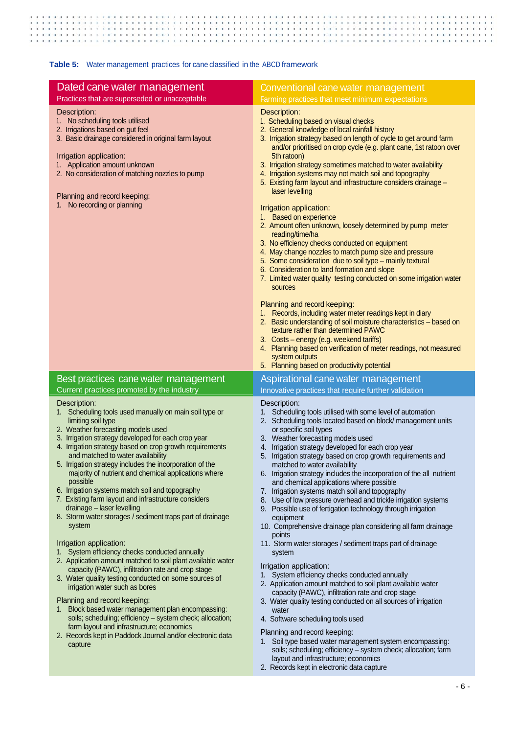**HHHHHH**  $\ddot{\phantom{0}}$  $\overline{\phantom{a}}$  $\ddot{\phantom{a}}$  $\ddot{\phantom{0}}$  $\cdot$  $\ddot{\phantom{a}}$  $\mathbb{R}$  :  $\vdots$ :  $\vdots$  $\ddot{\cdot}$ ţ  $\vdots$ ::::: ÷.

**Table 5:** Water management practices for cane classified in the ABCD framework

| Dated cane water management                                                                                                                                                                                                                                                                                                                                                                                                                                                                                                                                                                                                                                                                                                                                                                                                                                                                                                            | Conventional cane water management                                                                                                                                                                                                                                                                                                                                                                                                                                                                                                                                                                                                                                                                                                                                                                                                                                                                                                                                                                                                           |
|----------------------------------------------------------------------------------------------------------------------------------------------------------------------------------------------------------------------------------------------------------------------------------------------------------------------------------------------------------------------------------------------------------------------------------------------------------------------------------------------------------------------------------------------------------------------------------------------------------------------------------------------------------------------------------------------------------------------------------------------------------------------------------------------------------------------------------------------------------------------------------------------------------------------------------------|----------------------------------------------------------------------------------------------------------------------------------------------------------------------------------------------------------------------------------------------------------------------------------------------------------------------------------------------------------------------------------------------------------------------------------------------------------------------------------------------------------------------------------------------------------------------------------------------------------------------------------------------------------------------------------------------------------------------------------------------------------------------------------------------------------------------------------------------------------------------------------------------------------------------------------------------------------------------------------------------------------------------------------------------|
| Practices that are superseded or unacceptable                                                                                                                                                                                                                                                                                                                                                                                                                                                                                                                                                                                                                                                                                                                                                                                                                                                                                          | Farming practices that meet minimum expectations                                                                                                                                                                                                                                                                                                                                                                                                                                                                                                                                                                                                                                                                                                                                                                                                                                                                                                                                                                                             |
| Description:<br>1. No scheduling tools utilised<br>2. Irrigations based on gut feel<br>3. Basic drainage considered in original farm layout<br>Irrigation application:<br>1. Application amount unknown<br>2. No consideration of matching nozzles to pump<br>Planning and record keeping:<br>1. No recording or planning                                                                                                                                                                                                                                                                                                                                                                                                                                                                                                                                                                                                              | Description:<br>1. Scheduling based on visual checks<br>2. General knowledge of local rainfall history<br>3. Irrigation strategy based on length of cycle to get around farm<br>and/or prioritised on crop cycle (e.g. plant cane, 1st ratoon over<br>5th ratoon)<br>3. Irrigation strategy sometimes matched to water availability<br>4. Irrigation systems may not match soil and topography<br>5. Existing farm layout and infrastructure considers drainage -<br>laser levelling<br>Irrigation application:<br>1. Based on experience<br>2. Amount often unknown, loosely determined by pump meter<br>reading/time/ha<br>3. No efficiency checks conducted on equipment<br>4. May change nozzles to match pump size and pressure<br>5. Some consideration due to soil type - mainly textural<br>6. Consideration to land formation and slope<br>7. Limited water quality testing conducted on some irrigation water<br>sources<br>Planning and record keeping:                                                                           |
|                                                                                                                                                                                                                                                                                                                                                                                                                                                                                                                                                                                                                                                                                                                                                                                                                                                                                                                                        | 1. Records, including water meter readings kept in diary<br>2. Basic understanding of soil moisture characteristics - based on<br>texture rather than determined PAWC<br>3. Costs - energy (e.g. weekend tariffs)<br>4. Planning based on verification of meter readings, not measured<br>system outputs<br>5. Planning based on productivity potential                                                                                                                                                                                                                                                                                                                                                                                                                                                                                                                                                                                                                                                                                      |
| Best practices cane water management                                                                                                                                                                                                                                                                                                                                                                                                                                                                                                                                                                                                                                                                                                                                                                                                                                                                                                   | Aspirational cane water management                                                                                                                                                                                                                                                                                                                                                                                                                                                                                                                                                                                                                                                                                                                                                                                                                                                                                                                                                                                                           |
| Current practices promoted by the industry                                                                                                                                                                                                                                                                                                                                                                                                                                                                                                                                                                                                                                                                                                                                                                                                                                                                                             | Innovative practices that require further validation                                                                                                                                                                                                                                                                                                                                                                                                                                                                                                                                                                                                                                                                                                                                                                                                                                                                                                                                                                                         |
|                                                                                                                                                                                                                                                                                                                                                                                                                                                                                                                                                                                                                                                                                                                                                                                                                                                                                                                                        |                                                                                                                                                                                                                                                                                                                                                                                                                                                                                                                                                                                                                                                                                                                                                                                                                                                                                                                                                                                                                                              |
| Description:<br>1. Scheduling tools used manually on main soil type or<br>limiting soil type<br>2. Weather forecasting models used<br>3. Irrigation strategy developed for each crop year<br>4. Irrigation strategy based on crop growth requirements<br>and matched to water availability<br>5. Irrigation strategy includes the incorporation of the<br>majority of nutrient and chemical applications where<br>possible<br>6. Irrigation systems match soil and topography<br>7. Existing farm layout and infrastructure considers<br>drainage - laser levelling<br>8. Storm water storages / sediment traps part of drainage<br>system<br>Irrigation application:<br>1. System efficiency checks conducted annually<br>2. Application amount matched to soil plant available water<br>capacity (PAWC), infiltration rate and crop stage<br>3. Water quality testing conducted on some sources of<br>irrigation water such as bores | Description:<br>1. Scheduling tools utilised with some level of automation<br>2. Scheduling tools located based on block/management units<br>or specific soil types<br>3. Weather forecasting models used<br>4. Irrigation strategy developed for each crop year<br>5. Irrigation strategy based on crop growth requirements and<br>matched to water availability<br>6. Irrigation strategy includes the incorporation of the all nutrient<br>and chemical applications where possible<br>7. Irrigation systems match soil and topography<br>8. Use of low pressure overhead and trickle irrigation systems<br>9. Possible use of fertigation technology through irrigation<br>equipment<br>10. Comprehensive drainage plan considering all farm drainage<br>points<br>11. Storm water storages / sediment traps part of drainage<br>system<br>Irrigation application:<br>1. System efficiency checks conducted annually<br>2. Application amount matched to soil plant available water<br>capacity (PAWC), infiltration rate and crop stage |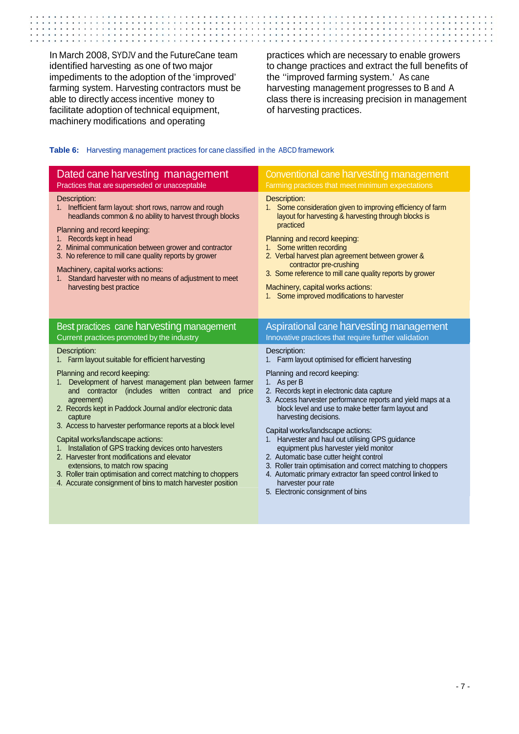In March 2008, SYDJV and the FutureCane team identified harvesting as one of two major impediments to the adoption of the 'improved' farming system. Harvesting contractors must be able to directly access incentive money to facilitate adoption of technical equipment, machinery modifications and operating

practices which are necessary to enable growers to change practices and extract the full benefits of the ''improved farming system.' As cane harvesting management progresses to B and A class there is increasing precision in management of harvesting practices.

#### **Table 6:** Harvesting management practices for cane classified in the ABCD framework

| Dated cane harvesting management                                                                                                                                                                                                                                                                                                                                                                                                                                                                                                                                                                                                       | <b>Conventional cane harvesting management</b>                                                                                                                                                                                                                                                                                                                                                                                                                                                                                                                                                                     |
|----------------------------------------------------------------------------------------------------------------------------------------------------------------------------------------------------------------------------------------------------------------------------------------------------------------------------------------------------------------------------------------------------------------------------------------------------------------------------------------------------------------------------------------------------------------------------------------------------------------------------------------|--------------------------------------------------------------------------------------------------------------------------------------------------------------------------------------------------------------------------------------------------------------------------------------------------------------------------------------------------------------------------------------------------------------------------------------------------------------------------------------------------------------------------------------------------------------------------------------------------------------------|
| Practices that are superseded or unacceptable                                                                                                                                                                                                                                                                                                                                                                                                                                                                                                                                                                                          | Farming practices that meet minimum expectations                                                                                                                                                                                                                                                                                                                                                                                                                                                                                                                                                                   |
| Description:                                                                                                                                                                                                                                                                                                                                                                                                                                                                                                                                                                                                                           | Description:                                                                                                                                                                                                                                                                                                                                                                                                                                                                                                                                                                                                       |
| 1. Inefficient farm layout: short rows, narrow and rough                                                                                                                                                                                                                                                                                                                                                                                                                                                                                                                                                                               | 1. Some consideration given to improving efficiency of farm                                                                                                                                                                                                                                                                                                                                                                                                                                                                                                                                                        |
| headlands common & no ability to harvest through blocks                                                                                                                                                                                                                                                                                                                                                                                                                                                                                                                                                                                | layout for harvesting & harvesting through blocks is                                                                                                                                                                                                                                                                                                                                                                                                                                                                                                                                                               |
| Planning and record keeping:                                                                                                                                                                                                                                                                                                                                                                                                                                                                                                                                                                                                           | practiced                                                                                                                                                                                                                                                                                                                                                                                                                                                                                                                                                                                                          |
| Records kept in head                                                                                                                                                                                                                                                                                                                                                                                                                                                                                                                                                                                                                   | Planning and record keeping:                                                                                                                                                                                                                                                                                                                                                                                                                                                                                                                                                                                       |
| 1.                                                                                                                                                                                                                                                                                                                                                                                                                                                                                                                                                                                                                                     | 1. Some written recording                                                                                                                                                                                                                                                                                                                                                                                                                                                                                                                                                                                          |
| 2. Minimal communication between grower and contractor                                                                                                                                                                                                                                                                                                                                                                                                                                                                                                                                                                                 | 2. Verbal harvest plan agreement between grower &                                                                                                                                                                                                                                                                                                                                                                                                                                                                                                                                                                  |
| 3. No reference to mill cane quality reports by grower                                                                                                                                                                                                                                                                                                                                                                                                                                                                                                                                                                                 | contractor pre-crushing                                                                                                                                                                                                                                                                                                                                                                                                                                                                                                                                                                                            |
| Machinery, capital works actions:                                                                                                                                                                                                                                                                                                                                                                                                                                                                                                                                                                                                      | 3. Some reference to mill cane quality reports by grower                                                                                                                                                                                                                                                                                                                                                                                                                                                                                                                                                           |
| Standard harvester with no means of adjustment to meet                                                                                                                                                                                                                                                                                                                                                                                                                                                                                                                                                                                 | Machinery, capital works actions:                                                                                                                                                                                                                                                                                                                                                                                                                                                                                                                                                                                  |
| $1_{-}$                                                                                                                                                                                                                                                                                                                                                                                                                                                                                                                                                                                                                                | Some improved modifications to harvester                                                                                                                                                                                                                                                                                                                                                                                                                                                                                                                                                                           |
| harvesting best practice                                                                                                                                                                                                                                                                                                                                                                                                                                                                                                                                                                                                               | 1.                                                                                                                                                                                                                                                                                                                                                                                                                                                                                                                                                                                                                 |
| Best practices cane harvesting management                                                                                                                                                                                                                                                                                                                                                                                                                                                                                                                                                                                              | <b>Aspirational cane harvesting management</b>                                                                                                                                                                                                                                                                                                                                                                                                                                                                                                                                                                     |
| Current practices promoted by the industry                                                                                                                                                                                                                                                                                                                                                                                                                                                                                                                                                                                             | Innovative practices that require further validation                                                                                                                                                                                                                                                                                                                                                                                                                                                                                                                                                               |
| Description:                                                                                                                                                                                                                                                                                                                                                                                                                                                                                                                                                                                                                           | Description:                                                                                                                                                                                                                                                                                                                                                                                                                                                                                                                                                                                                       |
| Farm layout suitable for efficient harvesting                                                                                                                                                                                                                                                                                                                                                                                                                                                                                                                                                                                          | Farm layout optimised for efficient harvesting                                                                                                                                                                                                                                                                                                                                                                                                                                                                                                                                                                     |
| Planning and record keeping:<br>Development of harvest management plan between farmer<br>$1_{-}$<br>and contractor (includes written contract and<br>price<br>agreement)<br>2. Records kept in Paddock Journal and/or electronic data<br>capture<br>3. Access to harvester performance reports at a block level<br>Capital works/landscape actions:<br>Installation of GPS tracking devices onto harvesters<br>1.<br>2. Harvester front modifications and elevator<br>extensions, to match row spacing<br>3. Roller train optimisation and correct matching to choppers<br>4. Accurate consignment of bins to match harvester position | Planning and record keeping:<br>As per B<br>1.<br>2. Records kept in electronic data capture<br>3. Access harvester performance reports and yield maps at a<br>block level and use to make better farm layout and<br>harvesting decisions.<br>Capital works/landscape actions:<br>1. Harvester and haul out utilising GPS guidance<br>equipment plus harvester yield monitor<br>2. Automatic base cutter height control<br>3. Roller train optimisation and correct matching to choppers<br>4. Automatic primary extractor fan speed control linked to<br>harvester pour rate<br>5. Electronic consignment of bins |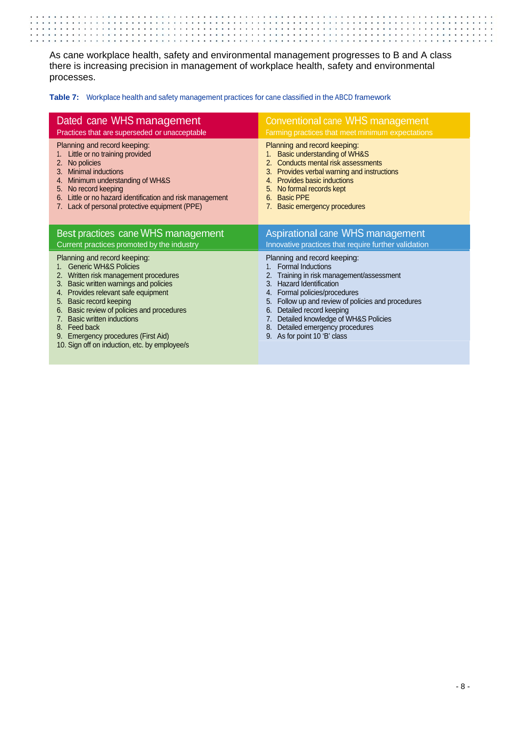As cane workplace health, safety and environmental management progresses to B and A class there is increasing precision in management of workplace health, safety and environmental processes.

**Table 7:** Workplace health and safety management practices for cane classified in the ABCD framework

| Dated cane WHS management                                                                                                                                                                                                                                                                                  | <b>Conventional cane WHS management</b>                                                                                                                                                                                                                                       |
|------------------------------------------------------------------------------------------------------------------------------------------------------------------------------------------------------------------------------------------------------------------------------------------------------------|-------------------------------------------------------------------------------------------------------------------------------------------------------------------------------------------------------------------------------------------------------------------------------|
| Practices that are superseded or unacceptable                                                                                                                                                                                                                                                              | Farming practices that meet minimum expectations                                                                                                                                                                                                                              |
| Planning and record keeping:<br>Little or no training provided<br>No policies<br>2.<br><b>Minimal inductions</b><br>3.<br>Minimum understanding of WH&S<br>4.<br>No record keeping<br>5.<br>Little or no hazard identification and risk management<br>6.<br>7. Lack of personal protective equipment (PPE) | Planning and record keeping:<br>Basic understanding of WH&S<br>Conducts mental risk assessments<br>Provides verbal warning and instructions<br>3.<br><b>Provides basic inductions</b><br>4.<br>No formal records kept<br><b>Basic PPE</b><br>6.<br>Basic emergency procedures |
| Best practices cane WHS management                                                                                                                                                                                                                                                                         | Aspirational cane WHS management                                                                                                                                                                                                                                              |
| Current practices promoted by the industry                                                                                                                                                                                                                                                                 | Innovative practices that require further validation                                                                                                                                                                                                                          |
| Planning and record keeping:                                                                                                                                                                                                                                                                               | Planning and record keeping:                                                                                                                                                                                                                                                  |
| <b>Generic WH&amp;S Policies</b>                                                                                                                                                                                                                                                                           | <b>Formal Inductions</b>                                                                                                                                                                                                                                                      |
| 2. Written risk management procedures                                                                                                                                                                                                                                                                      | Training in risk management/assessment                                                                                                                                                                                                                                        |
| Basic written warnings and policies                                                                                                                                                                                                                                                                        | <b>Hazard Identification</b>                                                                                                                                                                                                                                                  |
| 3.                                                                                                                                                                                                                                                                                                         | $3_{-}$                                                                                                                                                                                                                                                                       |
| Provides relevant safe equipment                                                                                                                                                                                                                                                                           | Formal policies/procedures                                                                                                                                                                                                                                                    |
| 4.                                                                                                                                                                                                                                                                                                         | 4.                                                                                                                                                                                                                                                                            |
| Basic record keeping                                                                                                                                                                                                                                                                                       | Follow up and review of policies and procedures                                                                                                                                                                                                                               |
| 5.                                                                                                                                                                                                                                                                                                         | 5.                                                                                                                                                                                                                                                                            |
| Basic review of policies and procedures                                                                                                                                                                                                                                                                    | Detailed record keeping                                                                                                                                                                                                                                                       |
| 6.                                                                                                                                                                                                                                                                                                         | 6.                                                                                                                                                                                                                                                                            |
| <b>Basic written inductions</b>                                                                                                                                                                                                                                                                            | Detailed knowledge of WH&S Policies                                                                                                                                                                                                                                           |
| 7.                                                                                                                                                                                                                                                                                                         | 7.                                                                                                                                                                                                                                                                            |
| 8. Feed back                                                                                                                                                                                                                                                                                               | Detailed emergency procedures                                                                                                                                                                                                                                                 |
| <b>Emergency procedures (First Aid)</b>                                                                                                                                                                                                                                                                    | 8.                                                                                                                                                                                                                                                                            |
| 9.                                                                                                                                                                                                                                                                                                         | As for point 10 'B' class                                                                                                                                                                                                                                                     |
| 10. Sign off on induction, etc. by employee/s                                                                                                                                                                                                                                                              | 9.                                                                                                                                                                                                                                                                            |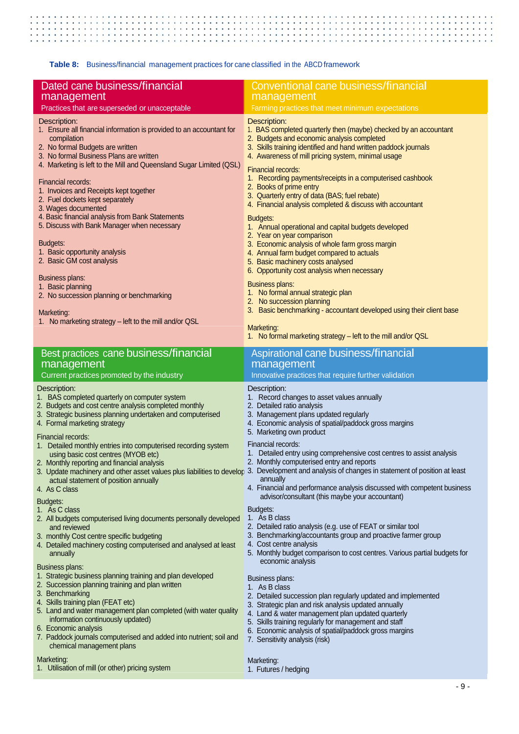$\ddot{\phantom{1}}$ 

**Table 8:** Business/financial management practices for cane classified in the ABCD framework

| Dated cane business/financial<br>management                                                                                                                                                                                                                                                                                                                                                                                                                                                                                                                                                                                                                                                                 | <b>Conventional cane business/financial</b><br>management                                                                                                                                                                                                                                                                                                                                                                                                                                                                                                                                                                                                                                                                                                                                                                                                                                                                            |
|-------------------------------------------------------------------------------------------------------------------------------------------------------------------------------------------------------------------------------------------------------------------------------------------------------------------------------------------------------------------------------------------------------------------------------------------------------------------------------------------------------------------------------------------------------------------------------------------------------------------------------------------------------------------------------------------------------------|--------------------------------------------------------------------------------------------------------------------------------------------------------------------------------------------------------------------------------------------------------------------------------------------------------------------------------------------------------------------------------------------------------------------------------------------------------------------------------------------------------------------------------------------------------------------------------------------------------------------------------------------------------------------------------------------------------------------------------------------------------------------------------------------------------------------------------------------------------------------------------------------------------------------------------------|
| Practices that are superseded or unacceptable                                                                                                                                                                                                                                                                                                                                                                                                                                                                                                                                                                                                                                                               | Farming practices that meet minimum expectations                                                                                                                                                                                                                                                                                                                                                                                                                                                                                                                                                                                                                                                                                                                                                                                                                                                                                     |
| Description:<br>1. Ensure all financial information is provided to an accountant for<br>compilation<br>2. No formal Budgets are written<br>3. No formal Business Plans are written<br>4. Marketing is left to the Mill and Queensland Sugar Limited (QSL)                                                                                                                                                                                                                                                                                                                                                                                                                                                   | Description:<br>1. BAS completed quarterly then (maybe) checked by an accountant<br>2. Budgets and economic analysis completed<br>3. Skills training identified and hand written paddock journals<br>4. Awareness of mill pricing system, minimal usage<br>Financial records:                                                                                                                                                                                                                                                                                                                                                                                                                                                                                                                                                                                                                                                        |
| Financial records:<br>1. Invoices and Receipts kept together<br>2. Fuel dockets kept separately<br>3. Wages documented                                                                                                                                                                                                                                                                                                                                                                                                                                                                                                                                                                                      | 1. Recording payments/receipts in a computerised cashbook<br>2. Books of prime entry<br>3. Quarterly entry of data (BAS; fuel rebate)<br>4. Financial analysis completed & discuss with accountant                                                                                                                                                                                                                                                                                                                                                                                                                                                                                                                                                                                                                                                                                                                                   |
| 4. Basic financial analysis from Bank Statements<br>5. Discuss with Bank Manager when necessary                                                                                                                                                                                                                                                                                                                                                                                                                                                                                                                                                                                                             | <b>Budgets:</b><br>1. Annual operational and capital budgets developed<br>2. Year on year comparison                                                                                                                                                                                                                                                                                                                                                                                                                                                                                                                                                                                                                                                                                                                                                                                                                                 |
| Budgets:<br>1. Basic opportunity analysis<br>2. Basic GM cost analysis                                                                                                                                                                                                                                                                                                                                                                                                                                                                                                                                                                                                                                      | 3. Economic analysis of whole farm gross margin<br>4. Annual farm budget compared to actuals<br>5. Basic machinery costs analysed<br>6. Opportunity cost analysis when necessary                                                                                                                                                                                                                                                                                                                                                                                                                                                                                                                                                                                                                                                                                                                                                     |
| Business plans:<br>1. Basic planning<br>2. No succession planning or benchmarking<br>Marketing:                                                                                                                                                                                                                                                                                                                                                                                                                                                                                                                                                                                                             | <b>Business plans:</b><br>1. No formal annual strategic plan<br>2. No succession planning<br>3. Basic benchmarking - accountant developed using their client base                                                                                                                                                                                                                                                                                                                                                                                                                                                                                                                                                                                                                                                                                                                                                                    |
| 1. No marketing strategy - left to the mill and/or QSL                                                                                                                                                                                                                                                                                                                                                                                                                                                                                                                                                                                                                                                      | Marketing:<br>1. No formal marketing strategy - left to the mill and/or QSL                                                                                                                                                                                                                                                                                                                                                                                                                                                                                                                                                                                                                                                                                                                                                                                                                                                          |
| Best practices cane business/financial<br>management<br>Current practices promoted by the industry                                                                                                                                                                                                                                                                                                                                                                                                                                                                                                                                                                                                          | Aspirational cane business/financial<br>management<br>Innovative practices that require further validation                                                                                                                                                                                                                                                                                                                                                                                                                                                                                                                                                                                                                                                                                                                                                                                                                           |
| Description:<br>1. BAS completed quarterly on computer system<br>2. Budgets and cost centre analysis completed monthly<br>3. Strategic business planning undertaken and computerised<br>4. Formal marketing strategy<br>Financial records:<br>1. Detailed monthly entries into computerised recording system<br>using basic cost centres (MYOB etc)<br>2. Monthly reporting and financial analysis<br>actual statement of position annually<br>4. As C class<br>Budgets:<br>1. As C class<br>2. All budgets computerised living documents personally developed<br>and reviewed<br>3. monthly Cost centre specific budgeting<br>4. Detailed machinery costing computerised and analysed at least<br>annually | Description:<br>1. Record changes to asset values annually<br>2. Detailed ratio analysis<br>3. Management plans updated regularly<br>4. Economic analysis of spatial/paddock gross margins<br>5. Marketing own product<br>Financial records:<br>1. Detailed entry using comprehensive cost centres to assist analysis<br>2. Monthly computerised entry and reports<br>3. Update machinery and other asset values plus liabilities to develor 3. Development and analysis of changes in statement of position at least<br>annually<br>4. Financial and performance analysis discussed with competent business<br>advisor/consultant (this maybe your accountant)<br>Budgets:<br>1. As B class<br>2. Detailed ratio analysis (e.g. use of FEAT or similar tool<br>3. Benchmarking/accountants group and proactive farmer group<br>4. Cost centre analysis<br>5. Monthly budget comparison to cost centres. Various partial budgets for |
| Business plans:<br>1. Strategic business planning training and plan developed<br>2. Succession planning training and plan written<br>3. Benchmarking<br>4. Skills training plan (FEAT etc)<br>5. Land and water management plan completed (with water quality<br>information continuously updated)<br>6. Economic analysis                                                                                                                                                                                                                                                                                                                                                                                  | economic analysis<br>Business plans:<br>1. As B class<br>2. Detailed succession plan regularly updated and implemented<br>3. Strategic plan and risk analysis updated annually<br>4. Land & water management plan updated quarterly                                                                                                                                                                                                                                                                                                                                                                                                                                                                                                                                                                                                                                                                                                  |
| 7. Paddock journals computerised and added into nutrient; soil and<br>chemical management plans                                                                                                                                                                                                                                                                                                                                                                                                                                                                                                                                                                                                             | 5. Skills training regularly for management and staff<br>6. Economic analysis of spatial/paddock gross margins<br>7. Sensitivity analysis (risk)                                                                                                                                                                                                                                                                                                                                                                                                                                                                                                                                                                                                                                                                                                                                                                                     |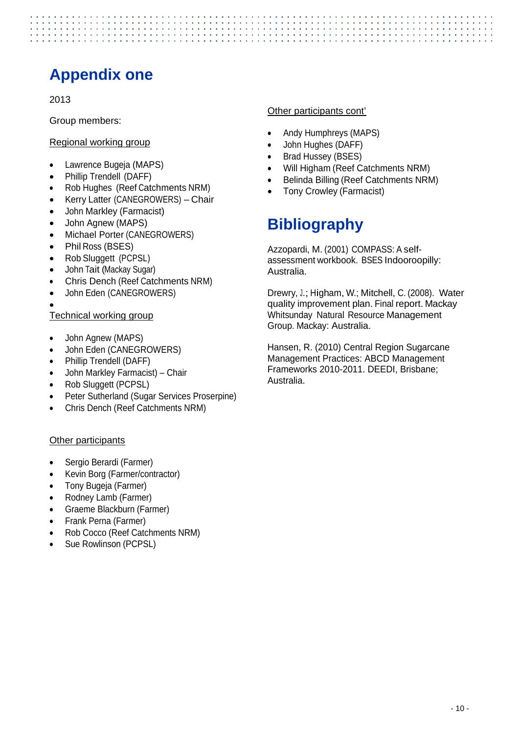## **Appendix one**

2013

Group members:

#### Regional working group

- Lawrence Bugeja (MAPS)
- Phillip Trendell (DAFF)
- Rob Hughes (Reef Catchments NRM)
- Kerry Latter (CANEGROWERS) Chair
- John Markley (Farmacist)
- John Agnew (MAPS)
- Michael Porter (CANEGROWERS)
- Phil Ross (BSES)
- Rob Sluggett (PCPSL)
- John Tait (Mackay Sugar)
- Chris Dench (Reef Catchments NRM)
- John Eden (CANEGROWERS)

#### $\bullet$ Technical working group

- John Agnew (MAPS)
- John Eden (CANEGROWERS)
- Phillip Trendell (DAFF)
- John Markley Farmacist) Chair
- Rob Sluggett (PCPSL)
- Peter Sutherland (Sugar Services Proserpine)
- Chris Dench (Reef Catchments NRM)

#### Other participants

- Sergio Berardi (Farmer)
- Kevin Borg (Farmer/contractor)
- Tony Bugeja (Farmer)
- Rodney Lamb (Farmer)
- Graeme Blackburn (Farmer)
- Frank Perna (Farmer)
- Rob Cocco (Reef Catchments NRM)
- Sue Rowlinson (PCPSL)

#### Other participants cont'

- Andy Humphreys (MAPS)
- John Hughes (DAFF)
- Brad Hussey (BSES)
- Will Higham (Reef Catchments NRM)
- Belinda Billing (Reef Catchments NRM)
- Tony Crowley (Farmacist)

## **Bibliography**

Azzopardi, M. (2001) COMPASS: A selfassessment workbook. BSES Indooroopilly: Australia.

Drewry, J.; Higham, W.; Mitchell, C. (2008). Water quality improvement plan. Final report. Mackay Whitsunday Natural Resource Management Group. Mackay: Australia.

Hansen, R. (2010) Central Region Sugarcane Management Practices: ABCD Management Frameworks 2010-2011. DEEDI, Brisbane; Australia.